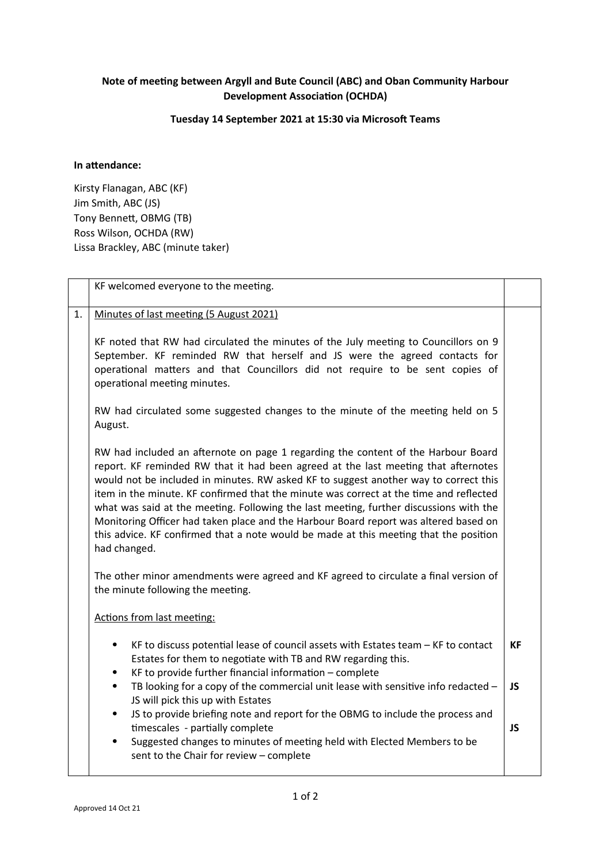## **Note of meeting between Argyll and Bute Council (ABC) and Oban Community Harbour Development Association (OCHDA)**

## **Tuesday 14 September 2021 at 15:30 via Microsoft Teams**

## **In attendance:**

Kirsty Flanagan, ABC (KF) Jim Smith, ABC (JS) Tony Bennett, OBMG (TB) Ross Wilson, OCHDA (RW) Lissa Brackley, ABC (minute taker)

|    | KF welcomed everyone to the meeting.                                                                                                                                                                                                                                                                                                                                                                                                                                                                                                                                                                                                                                                                                                                                                                                                                                                                                                                                                                                                                                                                                                                                                                                                           |           |
|----|------------------------------------------------------------------------------------------------------------------------------------------------------------------------------------------------------------------------------------------------------------------------------------------------------------------------------------------------------------------------------------------------------------------------------------------------------------------------------------------------------------------------------------------------------------------------------------------------------------------------------------------------------------------------------------------------------------------------------------------------------------------------------------------------------------------------------------------------------------------------------------------------------------------------------------------------------------------------------------------------------------------------------------------------------------------------------------------------------------------------------------------------------------------------------------------------------------------------------------------------|-----------|
| 1. | Minutes of last meeting (5 August 2021)<br>KF noted that RW had circulated the minutes of the July meeting to Councillors on 9<br>September. KF reminded RW that herself and JS were the agreed contacts for<br>operational matters and that Councillors did not require to be sent copies of<br>operational meeting minutes.<br>RW had circulated some suggested changes to the minute of the meeting held on 5<br>August.<br>RW had included an afternote on page 1 regarding the content of the Harbour Board<br>report. KF reminded RW that it had been agreed at the last meeting that afternotes<br>would not be included in minutes. RW asked KF to suggest another way to correct this<br>item in the minute. KF confirmed that the minute was correct at the time and reflected<br>what was said at the meeting. Following the last meeting, further discussions with the<br>Monitoring Officer had taken place and the Harbour Board report was altered based on<br>this advice. KF confirmed that a note would be made at this meeting that the position<br>had changed.<br>The other minor amendments were agreed and KF agreed to circulate a final version of<br>the minute following the meeting.<br>Actions from last meeting: |           |
|    | KF to discuss potential lease of council assets with Estates team $-KF$ to contact<br>$\bullet$<br>Estates for them to negotiate with TB and RW regarding this.<br>KF to provide further financial information - complete<br>$\bullet$                                                                                                                                                                                                                                                                                                                                                                                                                                                                                                                                                                                                                                                                                                                                                                                                                                                                                                                                                                                                         | <b>KF</b> |
|    | TB looking for a copy of the commercial unit lease with sensitive info redacted -<br>$\bullet$<br>JS will pick this up with Estates<br>JS to provide briefing note and report for the OBMG to include the process and<br>٠                                                                                                                                                                                                                                                                                                                                                                                                                                                                                                                                                                                                                                                                                                                                                                                                                                                                                                                                                                                                                     | <b>JS</b> |
|    | timescales - partially complete<br>Suggested changes to minutes of meeting held with Elected Members to be<br>sent to the Chair for review - complete                                                                                                                                                                                                                                                                                                                                                                                                                                                                                                                                                                                                                                                                                                                                                                                                                                                                                                                                                                                                                                                                                          | <b>JS</b> |